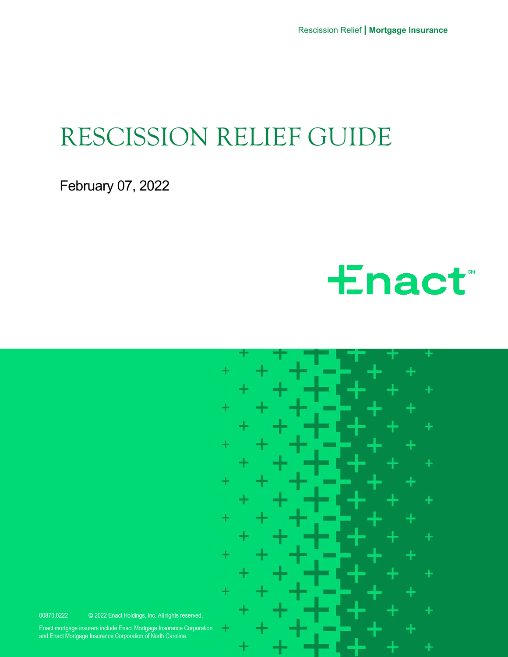Rescission Relief **| Mortgage Insurance**

## RESCISSION RELIEF GUIDE

February 07, 2022





Enact mortgage insurers include Enact Mortgage Insurance Corporation and Enact Mortgage Insurance Corporation of North Carolina.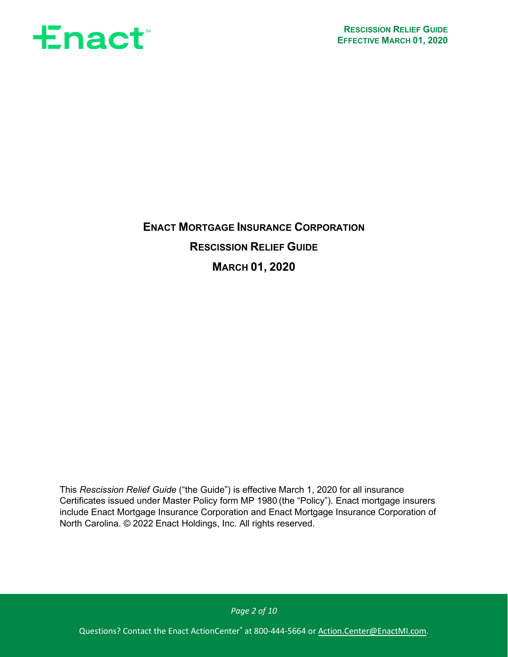

**ENACT MORTGAGE INSURANCE CORPORATION RESCISSION RELIEF GUIDE MARCH 01, 2020**

This *Rescission Relief Guide* ("the Guide") is effective March 1, 2020 for all insurance Certificates issued under Master Policy form MP 1980 (the "Policy"). Enact mortgage insurers include Enact Mortgage Insurance Corporation and Enact Mortgage Insurance Corporation of North Carolina. © 2022 Enact Holdings, Inc. All rights reserved.

*Page 2 of 10*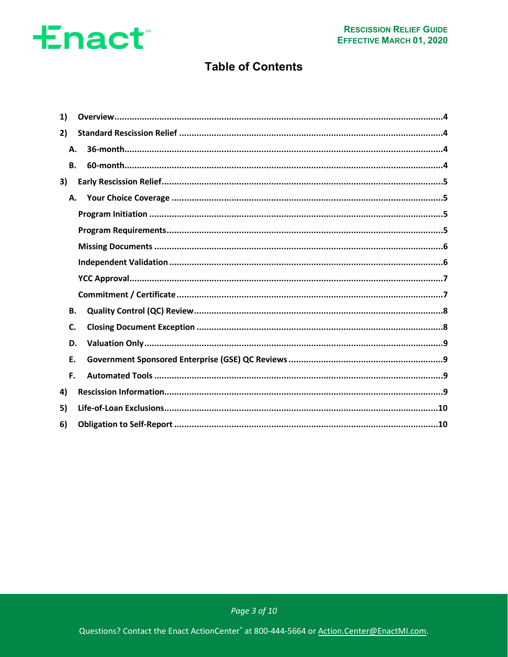### **Table of Contents**

| 1) |    |  |
|----|----|--|
| 2) |    |  |
| Α. |    |  |
| В. |    |  |
| 3) |    |  |
|    | А. |  |
|    |    |  |
|    |    |  |
|    |    |  |
|    |    |  |
|    |    |  |
|    |    |  |
| В. |    |  |
| C. |    |  |
| D. |    |  |
| E. |    |  |
| F. |    |  |
| 4) |    |  |
| 5) |    |  |
| 6) |    |  |

Page 3 of 10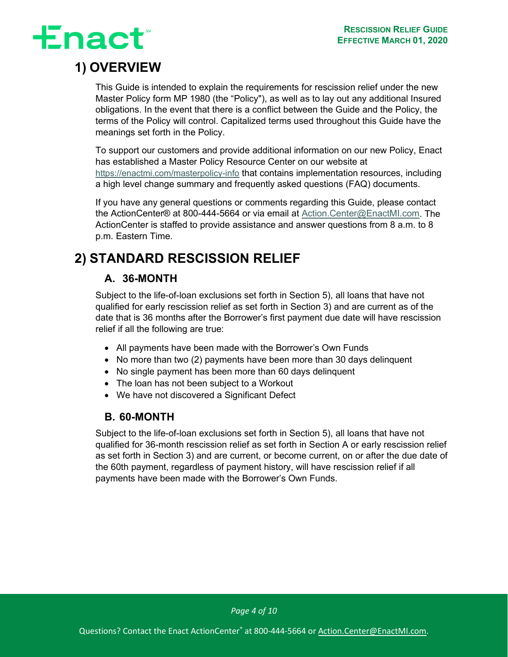# **Enact**

## <span id="page-3-0"></span>**1) OVERVIEW**

This Guide is intended to explain the requirements for rescission relief under the new Master Policy form MP 1980 (the "Policy"), as well as to lay out any additional Insured obligations. In the event that there is a conflict between the Guide and the Policy, the terms of the Policy will control. Capitalized terms used throughout this Guide have the meanings set forth in the Policy.

To support our customers and provide additional information on our new Policy, Enact has established a Master Policy Resource Center on our website at <https://enactmi.com/masterpolicy-info> that contains implementation resources, including a high level change summary and frequently asked questions (FAQ) documents.

If you have any general questions or comments regarding this Guide, please contact the ActionCenter® at 800-444-5664 or via email at [Action.Center@EnactMI.com.](mailto:Action.Center@EnactMI.com) The ActionCenter is staffed to provide assistance and answer questions from 8 a.m. to 8 p.m. Eastern Time.

## <span id="page-3-4"></span><span id="page-3-1"></span>**2) STANDARD RESCISSION RELIEF**

### <span id="page-3-2"></span>**A. 36-MONTH**

Subject to the life-of-loan exclusions set forth in Section [5\),](#page-9-0) all loans that have not qualified for early rescission relief as set forth in Section [3\)](#page-4-0) and are current as of the date that is 36 months after the Borrower's first payment due date will have rescission relief if all the following are true:

- All payments have been made with the Borrower's Own Funds
- No more than two (2) payments have been more than 30 days delinquent
- No single payment has been more than 60 days delinquent
- The loan has not been subject to a Workout
- We have not discovered a Significant Defect

### **B. 60-MONTH**

<span id="page-3-3"></span>Subject to the life-of-loan exclusions set forth in Section [5\),](#page-9-0) all loans that have not qualified for 36-month rescission relief as set forth in Section [A](#page-3-4) or early rescission relief as set forth in Section [3\)](#page-4-0) and are current, or become current, on or after the due date of the 60th payment, regardless of payment history, will have rescission relief if all payments have been made with the Borrower's Own Funds.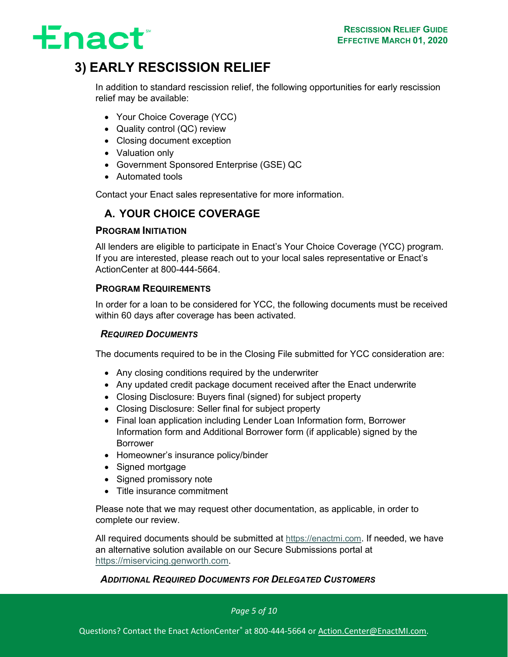

### <span id="page-4-0"></span>**3) EARLY RESCISSION RELIEF**

In addition to standard rescission relief, the following opportunities for early rescission relief may be available:

- Your Choice Coverage (YCC)
- Quality control (QC) review
- Closing document exception
- Valuation only
- Government Sponsored Enterprise (GSE) QC
- Automated tools

<span id="page-4-1"></span>Contact your Enact sales representative for more information.

### **A. YOUR CHOICE COVERAGE**

### <span id="page-4-2"></span>**PROGRAM INITIATION**

All lenders are eligible to participate in Enact's Your Choice Coverage (YCC) program. If you are interested, please reach out to your local sales representative or Enact's ActionCenter at 800-444-5664.

### <span id="page-4-3"></span>**PROGRAM REQUIREMENTS**

In order for a loan to be considered for YCC, the following documents must be received within 60 days after coverage has been activated.

### *REQUIRED DOCUMENTS*

The documents required to be in the Closing File submitted for YCC consideration are:

- Any closing conditions required by the underwriter
- Any updated credit package document received after the Enact underwrite
- Closing Disclosure: Buyers final (signed) for subject property
- Closing Disclosure: Seller final for subject property
- Final loan application including Lender Loan Information form, Borrower Information form and Additional Borrower form (if applicable) signed by the Borrower
- Homeowner's insurance policy/binder
- Signed mortgage
- Signed promissory note
- Title insurance commitment

Please note that we may request other documentation, as applicable, in order to complete our review.

All required documents should be submitted at [https://enactmi.com.](https://enactmi.com/masterpolicy-info) If needed, we have an alternative solution available on our Secure Submissions portal at [https://miservicing.genworth.com.](https://miservicing.genworth.com/)

### *ADDITIONAL REQUIRED DOCUMENTS FOR DELEGATED CUSTOMERS*

*Page 5 of 10*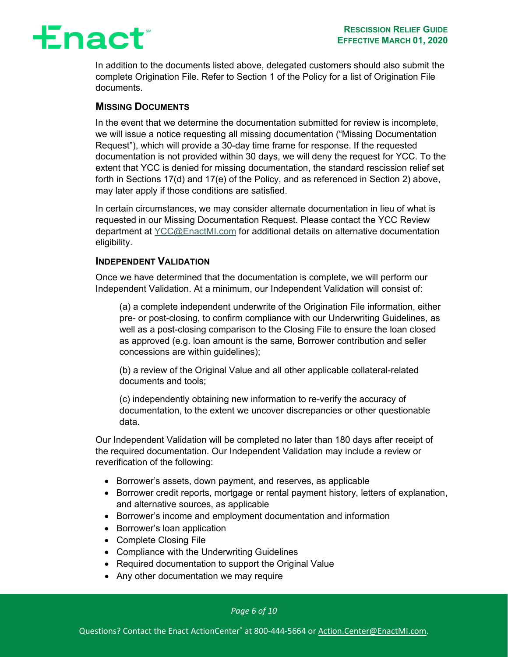In addition to the documents listed above, delegated customers should also submit the complete Origination File. Refer to Section 1 of the Policy for a list of Origination File documents.

#### <span id="page-5-0"></span>**MISSING DOCUMENTS**

In the event that we determine the documentation submitted for review is incomplete, we will issue a notice requesting all missing documentation ("Missing Documentation Request"), which will provide a 30-day time frame for response. If the requested documentation is not provided within 30 days, we will deny the request for YCC. To the extent that YCC is denied for missing documentation, the standard rescission relief set forth in Sections 17(d) and 17(e) of the Policy, and as referenced in Section [2\)](#page-3-1) above, may later apply if those conditions are satisfied.

In certain circumstances, we may consider alternate documentation in lieu of what is requested in our Missing Documentation Request. Please contact the YCC Review department at [YCC@EnactMI.com](mailto:YCC@EnactMI.com) for additional details on alternative documentation eligibility.

#### <span id="page-5-1"></span>**INDEPENDENT VALIDATION**

Once we have determined that the documentation is complete, we will perform our Independent Validation. At a minimum, our Independent Validation will consist of:

(a) a complete independent underwrite of the Origination File information, either pre- or post-closing, to confirm compliance with our Underwriting Guidelines, as well as a post-closing comparison to the Closing File to ensure the loan closed as approved (e.g. loan amount is the same, Borrower contribution and seller concessions are within guidelines);

(b) a review of the Original Value and all other applicable collateral-related documents and tools;

(c) independently obtaining new information to re-verify the accuracy of documentation, to the extent we uncover discrepancies or other questionable data.

Our Independent Validation will be completed no later than 180 days after receipt of the required documentation. Our Independent Validation may include a review or reverification of the following:

- Borrower's assets, down payment, and reserves, as applicable
- Borrower credit reports, mortgage or rental payment history, letters of explanation, and alternative sources, as applicable
- Borrower's income and employment documentation and information
- Borrower's loan application
- Complete Closing File
- Compliance with the Underwriting Guidelines
- Required documentation to support the Original Value
- Any other documentation we may require

*Page 6 of 10*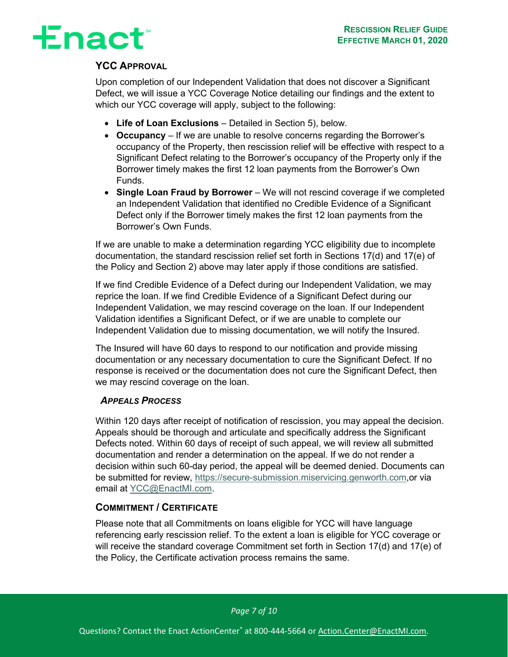# **±nact**®

### <span id="page-6-0"></span>**YCC APPROVAL**

Upon completion of our Independent Validation that does not discover a Significant Defect, we will issue a YCC Coverage Notice detailing our findings and the extent to which our YCC coverage will apply, subject to the following:

- **Life of Loan Exclusions**  Detailed in Section [5\),](#page-9-0) below.
- **Occupancy** If we are unable to resolve concerns regarding the Borrower's occupancy of the Property, then rescission relief will be effective with respect to a Significant Defect relating to the Borrower's occupancy of the Property only if the Borrower timely makes the first 12 loan payments from the Borrower's Own Funds.
- **Single Loan Fraud by Borrower** We will not rescind coverage if we completed an Independent Validation that identified no Credible Evidence of a Significant Defect only if the Borrower timely makes the first 12 loan payments from the Borrower's Own Funds.

If we are unable to make a determination regarding YCC eligibility due to incomplete documentation, the standard rescission relief set forth in Sections 17(d) and 17(e) of the Policy and Section [2\)](#page-3-1) above may later apply if those conditions are satisfied.

If we find Credible Evidence of a Defect during our Independent Validation, we may reprice the loan. If we find Credible Evidence of a Significant Defect during our Independent Validation, we may rescind coverage on the loan. If our Independent Validation identifies a Significant Defect, or if we are unable to complete our Independent Validation due to missing documentation, we will notify the Insured.

The Insured will have 60 days to respond to our notification and provide missing documentation or any necessary documentation to cure the Significant Defect. If no response is received or the documentation does not cure the Significant Defect, then we may rescind coverage on the loan.

#### *APPEALS PROCESS*

Within 120 days after receipt of notification of rescission, you may appeal the decision. Appeals should be thorough and articulate and specifically address the Significant Defects noted. Within 60 days of receipt of such appeal, we will review all submitted documentation and render a determination on the appeal. If we do not render a decision within such 60-day period, the appeal will be deemed denied. Documents can be submitted for review, [https://secure-submission.miservicing.genworth.com,](https://secure-submission.miservicing.genworth.com/)or via email at [YCC@EnactMI.com.](mailto:YCC@EnactMI.com)

#### <span id="page-6-1"></span>**COMMITMENT / CERTIFICATE**

Please note that all Commitments on loans eligible for YCC will have language referencing early rescission relief. To the extent a loan is eligible for YCC coverage or will receive the standard coverage Commitment set forth in Section 17(d) and 17(e) of the Policy, the Certificate activation process remains the same.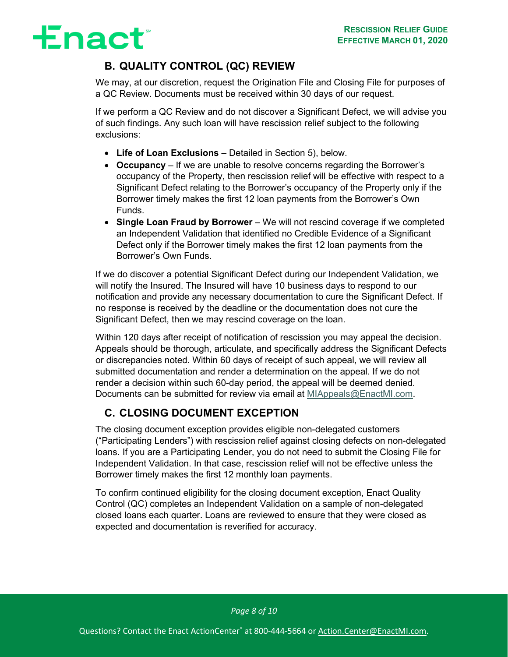## **Enact**

### **B. QUALITY CONTROL (QC) REVIEW**

<span id="page-7-0"></span>We may, at our discretion, request the Origination File and Closing File for purposes of a QC Review. Documents must be received within 30 days of our request.

If we perform a QC Review and do not discover a Significant Defect, we will advise you of such findings. Any such loan will have rescission relief subject to the following exclusions:

- **Life of Loan Exclusions**  Detailed in Section [5\),](#page-9-0) below.
- **Occupancy** If we are unable to resolve concerns regarding the Borrower's occupancy of the Property, then rescission relief will be effective with respect to a Significant Defect relating to the Borrower's occupancy of the Property only if the Borrower timely makes the first 12 loan payments from the Borrower's Own Funds.
- **Single Loan Fraud by Borrower** We will not rescind coverage if we completed an Independent Validation that identified no Credible Evidence of a Significant Defect only if the Borrower timely makes the first 12 loan payments from the Borrower's Own Funds.

If we do discover a potential Significant Defect during our Independent Validation, we will notify the Insured. The Insured will have 10 business days to respond to our notification and provide any necessary documentation to cure the Significant Defect. If no response is received by the deadline or the documentation does not cure the Significant Defect, then we may rescind coverage on the loan.

Within 120 days after receipt of notification of rescission you may appeal the decision. Appeals should be thorough, articulate, and specifically address the Significant Defects or discrepancies noted. Within 60 days of receipt of such appeal, we will review all submitted documentation and render a determination on the appeal. If we do not render a decision within such 60-day period, the appeal will be deemed denied. Documents can be submitted for review via email at [MIAppeals@EnactMI.com.](mailto:MIAppeals@EnactMI.com)

### **C. CLOSING DOCUMENT EXCEPTION**

<span id="page-7-1"></span>The closing document exception provides eligible non-delegated customers ("Participating Lenders") with rescission relief against closing defects on non-delegated loans. If you are a Participating Lender, you do not need to submit the Closing File for Independent Validation. In that case, rescission relief will not be effective unless the Borrower timely makes the first 12 monthly loan payments.

To confirm continued eligibility for the closing document exception, Enact Quality Control (QC) completes an Independent Validation on a sample of non-delegated closed loans each quarter. Loans are reviewed to ensure that they were closed as expected and documentation is reverified for accuracy.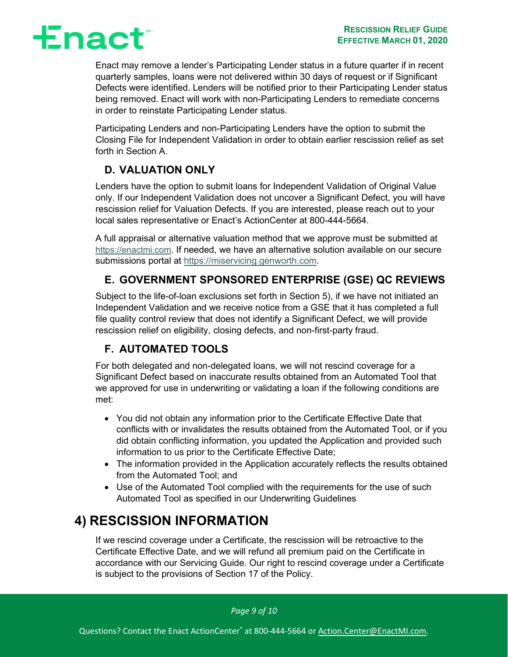

Enact may remove a lender's Participating Lender status in a future quarter if in recent quarterly samples, loans were not delivered within 30 days of request or if Significant Defects were identified. Lenders will be notified prior to their Participating Lender status being removed. Enact will work with non-Participating Lenders to remediate concerns in order to reinstate Participating Lender status.

Participating Lenders and non-Participating Lenders have the option to submit the Closing File for Independent Validation in order to obtain earlier rescission relief as set forth in Section [A.](#page-4-1)

### **D. VALUATION ONLY**

<span id="page-8-0"></span>Lenders have the option to submit loans for Independent Validation of Original Value only. If our Independent Validation does not uncover a Significant Defect, you will have rescission relief for Valuation Defects. If you are interested, please reach out to your local sales representative or Enact's ActionCenter at 800-444-5664.

A full appraisal or alternative valuation method that we approve must be submitted at [https://enactmi.com.](https://enactmi.com/masterpolicy-info) If needed, we have an alternative solution available on our secure submissions portal at [https://miservicing.genworth.com.](https://miservicing.genworth.com/)

### **E. GOVERNMENT SPONSORED ENTERPRISE (GSE) QC REVIEWS**

<span id="page-8-1"></span>Subject to the life-of-loan exclusions set forth in Section [5\),](#page-9-0) if we have not initiated an Independent Validation and we receive notice from a GSE that it has completed a full file quality control review that does not identify a Significant Defect, we will provide rescission relief on eligibility, closing defects, and non-first-party fraud.

### **F. AUTOMATED TOOLS**

<span id="page-8-2"></span>For both delegated and non-delegated loans, we will not rescind coverage for a Significant Defect based on inaccurate results obtained from an Automated Tool that we approved for use in underwriting or validating a loan if the following conditions are met:

- You did not obtain any information prior to the Certificate Effective Date that conflicts with or invalidates the results obtained from the Automated Tool, or if you did obtain conflicting information, you updated the Application and provided such information to us prior to the Certificate Effective Date;
- The information provided in the Application accurately reflects the results obtained from the Automated Tool; and
- Use of the Automated Tool complied with the requirements for the use of such Automated Tool as specified in our Underwriting Guidelines

### <span id="page-8-3"></span>**4) RESCISSION INFORMATION**

If we rescind coverage under a Certificate, the rescission will be retroactive to the Certificate Effective Date, and we will refund all premium paid on the Certificate in accordance with our Servicing Guide. Our right to rescind coverage under a Certificate is subject to the provisions of Section 17 of the Policy.

*Page 9 of 10*